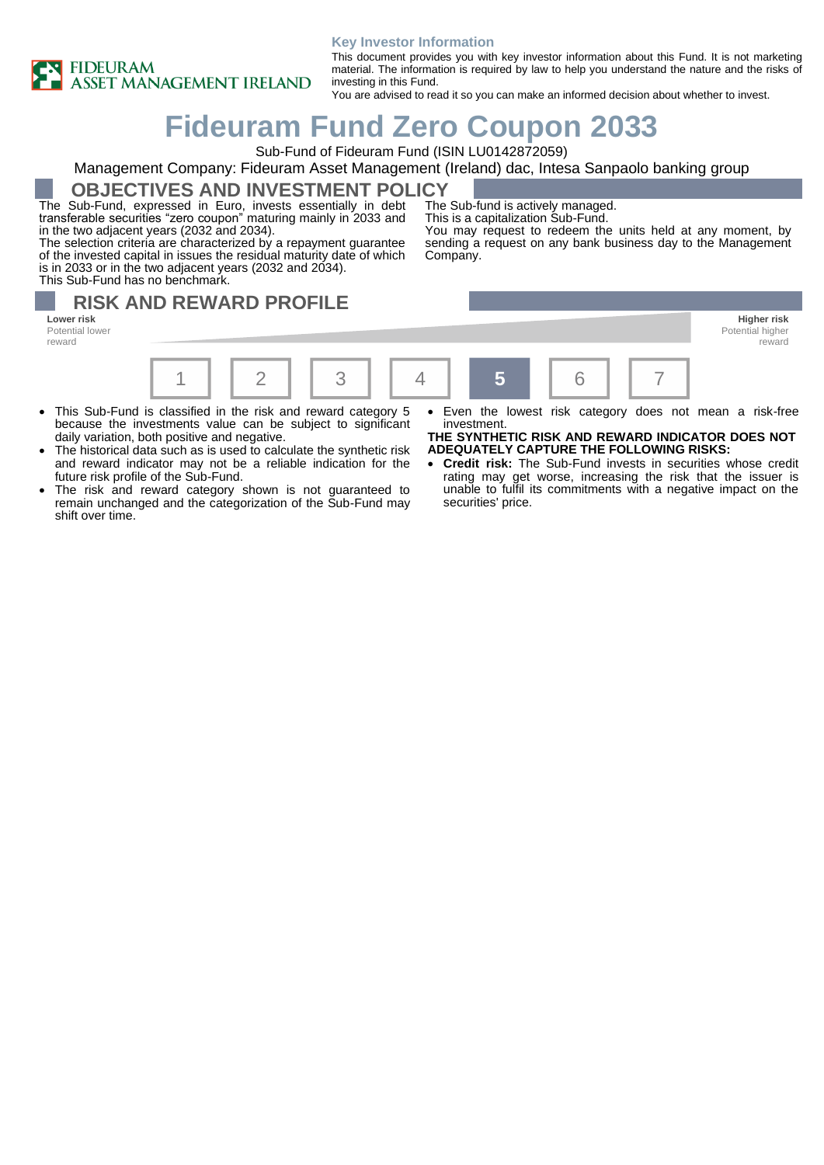

#### **Key Investor Information**

This document provides you with key investor information about this Fund. It is not marketing material. The information is required by law to help you understand the nature and the risks of investing in this Fund.

You are advised to read it so you can make an informed decision about whether to invest.

# **Fideuram Fund Zero Coupon 2033**

Sub-Fund of Fideuram Fund (ISIN LU0142872059)

### Management Company: Fideuram Asset Management (Ireland) dac, Intesa Sanpaolo banking group

**OBJECTIVES AND INVESTMENT POLICY**

The Sub-Fund, expressed in Euro, invests essentially in debt transferable securities "zero coupon" maturing mainly in 2033 and in the two adjacent years (2032 and 2034).

The selection criteria are characterized by a repayment guarantee of the invested capital in issues the residual maturity date of which is in 2033 or in the two adjacent years (2032 and 2034). This Sub-Fund has no benchmark.

The Sub-fund is actively managed.

This is a capitalization Sub-Fund.

You may request to redeem the units held at any moment, by sending a request on any bank business day to the Management Company.

# **RISK AND REWARD PROFILE**

**Lower risk Higher risk** Potential lower reward



- This Sub-Fund is classified in the risk and reward category 5 because the investments value can be subject to significant daily variation, both positive and negative.
- The historical data such as is used to calculate the synthetic risk and reward indicator may not be a reliable indication for the future risk profile of the Sub-Fund.
- The risk and reward category shown is not guaranteed to remain unchanged and the categorization of the Sub-Fund may shift over time.
- Even the lowest risk category does not mean a risk-free investment.

**THE SYNTHETIC RISK AND REWARD INDICATOR DOES NOT ADEQUATELY CAPTURE THE FOLLOWING RISKS:**

• **Credit risk:** The Sub-Fund invests in securities whose credit rating may get worse, increasing the risk that the issuer is unable to fulfil its commitments with a negative impact on the securities' price.